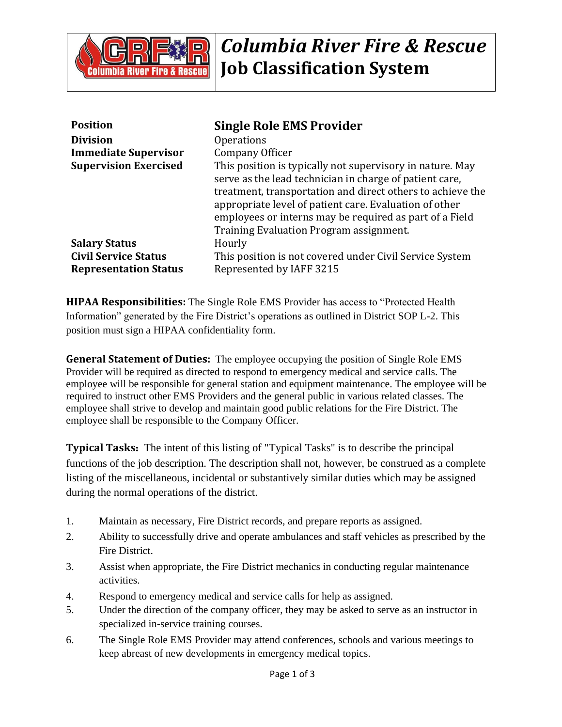

## *Columbia River Fire & Rescue*  **Job Classification System**

| <b>Position</b>                                             | <b>Single Role EMS Provider</b>                                                                                                                                                                                                                                                                                                                    |
|-------------------------------------------------------------|----------------------------------------------------------------------------------------------------------------------------------------------------------------------------------------------------------------------------------------------------------------------------------------------------------------------------------------------------|
| <b>Division</b>                                             | Operations                                                                                                                                                                                                                                                                                                                                         |
| <b>Immediate Supervisor</b>                                 | Company Officer                                                                                                                                                                                                                                                                                                                                    |
| <b>Supervision Exercised</b>                                | This position is typically not supervisory in nature. May<br>serve as the lead technician in charge of patient care,<br>treatment, transportation and direct others to achieve the<br>appropriate level of patient care. Evaluation of other<br>employees or interns may be required as part of a Field<br>Training Evaluation Program assignment. |
| <b>Salary Status</b>                                        | Hourly                                                                                                                                                                                                                                                                                                                                             |
| <b>Civil Service Status</b><br><b>Representation Status</b> | This position is not covered under Civil Service System<br>Represented by IAFF 3215                                                                                                                                                                                                                                                                |

**HIPAA Responsibilities:** The Single Role EMS Provider has access to "Protected Health Information" generated by the Fire District's operations as outlined in District SOP L-2. This position must sign a HIPAA confidentiality form.

**General Statement of Duties:** The employee occupying the position of Single Role EMS Provider will be required as directed to respond to emergency medical and service calls. The employee will be responsible for general station and equipment maintenance. The employee will be required to instruct other EMS Providers and the general public in various related classes. The employee shall strive to develop and maintain good public relations for the Fire District. The employee shall be responsible to the Company Officer.

**Typical Tasks:** The intent of this listing of "Typical Tasks" is to describe the principal functions of the job description. The description shall not, however, be construed as a complete listing of the miscellaneous, incidental or substantively similar duties which may be assigned during the normal operations of the district.

- 1. Maintain as necessary, Fire District records, and prepare reports as assigned.
- 2. Ability to successfully drive and operate ambulances and staff vehicles as prescribed by the Fire District.
- 3. Assist when appropriate, the Fire District mechanics in conducting regular maintenance activities.
- 4. Respond to emergency medical and service calls for help as assigned.
- 5. Under the direction of the company officer, they may be asked to serve as an instructor in specialized in-service training courses.
- 6. The Single Role EMS Provider may attend conferences, schools and various meetings to keep abreast of new developments in emergency medical topics.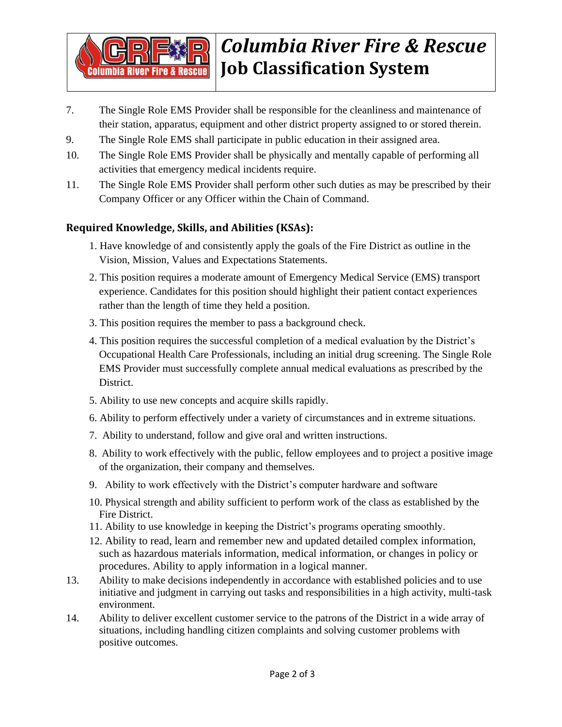# *Columbia River Fire & Rescue*  **Job Classification System**

- 7. The Single Role EMS Provider shall be responsible for the cleanliness and maintenance of their station, apparatus, equipment and other district property assigned to or stored therein.
- 9. The Single Role EMS shall participate in public education in their assigned area.
- 10. The Single Role EMS Provider shall be physically and mentally capable of performing all activities that emergency medical incidents require.
- 11. The Single Role EMS Provider shall perform other such duties as may be prescribed by their Company Officer or any Officer within the Chain of Command.

## **Required Knowledge, Skills, and Abilities (KSAs):**

**Columbia River Fire & Rescue** 

- 1. Have knowledge of and consistently apply the goals of the Fire District as outline in the Vision, Mission, Values and Expectations Statements.
- 2. This position requires a moderate amount of Emergency Medical Service (EMS) transport experience. Candidates for this position should highlight their patient contact experiences rather than the length of time they held a position.
- 3. This position requires the member to pass a background check.
- 4. This position requires the successful completion of a medical evaluation by the District's Occupational Health Care Professionals, including an initial drug screening. The Single Role EMS Provider must successfully complete annual medical evaluations as prescribed by the District.
- 5. Ability to use new concepts and acquire skills rapidly.
- 6. Ability to perform effectively under a variety of circumstances and in extreme situations.
- 7. Ability to understand, follow and give oral and written instructions.
- 8. Ability to work effectively with the public, fellow employees and to project a positive image of the organization, their company and themselves.
- 9. Ability to work effectively with the District's computer hardware and software
- 10. Physical strength and ability sufficient to perform work of the class as established by the Fire District.
- 11. Ability to use knowledge in keeping the District's programs operating smoothly.
- 12. Ability to read, learn and remember new and updated detailed complex information, such as hazardous materials information, medical information, or changes in policy or procedures. Ability to apply information in a logical manner.
- 13. Ability to make decisions independently in accordance with established policies and to use initiative and judgment in carrying out tasks and responsibilities in a high activity, multi-task environment.
- 14. Ability to deliver excellent customer service to the patrons of the District in a wide array of situations, including handling citizen complaints and solving customer problems with positive outcomes.